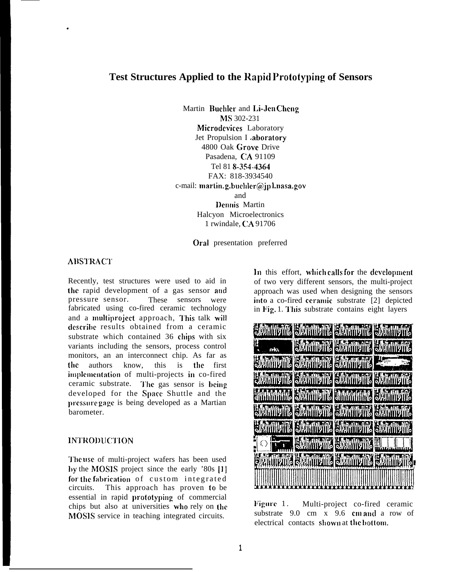# **Test Structures Applied to the Rapid Prototyping of Sensors**

Martin Buehler and Li-Jen Cheng MS 302-231 Microdevices Laboratory Jet Propulsion I aboratory 4800 Oak Grove Drive Pasadena, CA 91109 Tel 81 &354-4364 FAX: 818-3934540 c-mail: martin. g.buchler@jpl.nasa.gov and l)cnnis Martin Halcyon Microelectronics 1 rwindale, CA 91706

Oral presentation preferred

# **ABSTRACT**

.

Recently, test structures were used to aid in the rapid development of a gas sensor and pressure sensor. These sensors were fabricated using co-fired ceramic technology and a multiproject approach, This talk will describe results obtained from a ceramic substrate which contained 36 chips with six variants including the sensors, process control monitors, an an interconnect chip. As far as the authors know, this is the first implementation of multi-projects in co-fired ceramic substrate. The gas sensor is being developed for the Space Shuttle and the prcssllre gage is being developed as a Martian barometer.

## lN'J'ROl)lJ('J'10N

The use of multi-project wafers has been used by the MOSIS project since the early  $'80s$  [1] for the fabrication of custom integrated circuits. This approach has proven to be essential in rapid prototyping of commercial chips but also at universities who rely on the MOSIS service in teaching integrated circuits.

In this effort, which calls for the development of two very different sensors, the multi-project approach was used when designing the sensors into a co-fired ceramic substrate [2] depicted in Fig. 1. This substrate contains eight layers



Figure 1. Multi-project co-fired ceramic substrate 9.0 cm x 9.6 cm and a row of electrical contacts shown at the bottom.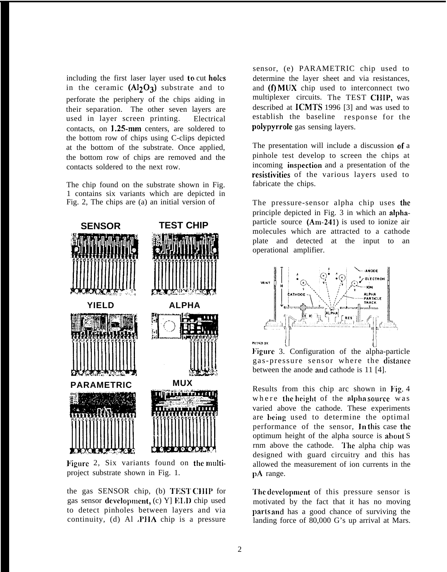including the first laser layer used to cut holes in the ceramic  $(AI_2O_3)$  substrate and to perforate the periphery of the chips aiding in their separation. The other seven layers are used in layer screen printing. Electrical contacts, on 1.25-mm centers, are soldered to the bottom row of chips using C-clips depicted at the bottom of the substrate. Once applied, the bottom row of chips are removed and the contacts soldered to the next row.

The chip found on the substrate shown in Fig. 1 contains six variants which are depicted in Fig. 2, The chips are (a) an initial version of



Figure 2, Six variants found on the multiproject substrate shown in Fig. 1.

the gas SENSOR chip, (b) TEST CHIP for gas sensor development,  $(c)$  Y] ELD chip used to detect pinholes between layers and via continuity, (d) Al ,PIIA chip is a pressure

sensor, (e) PARAMETRIC chip used to determine the layer sheet and via resistances, and  $(f)$  MUX chip used to interconnect two multiplexer circuits. The TEST CHIP, was described at ICMTS 1996 [3] and was used to establish the baseline response for the polypyrrole gas sensing layers.

The presentation will include a discussion of a pinhole test develop to screen the chips at incoming inspection and a presentation of the resistivities of the various layers used to fabricate the chips.

The pressure-sensor alpha chip uses the principle depicted in Fig. 3 in which an alphaparticle source (Am-241) is used to ionize air molecules which are attracted to a cathode plate and detected at the input to an operational amplifier.



Figure 3. Configuration of the alpha-particle gas-pressure sensor where the distance between the anode and cathode is 11 [4].

Results from this chip arc shown in Fig.  $4$ where the height of the alpha source was varied above the cathode. These experiments are being used to determine the optimal performance of the sensor, In this case the optimum height of the alpha source is about S rnm above the cathode. The alpha chip was designed with guard circuitry and this has allowed the measurement of ion currents in the pA range.

The development of this pressure sensor is motivated by the fact that it has no moving parts and has a good chance of surviving the landing force of 80,000 G's up arrival at Mars.